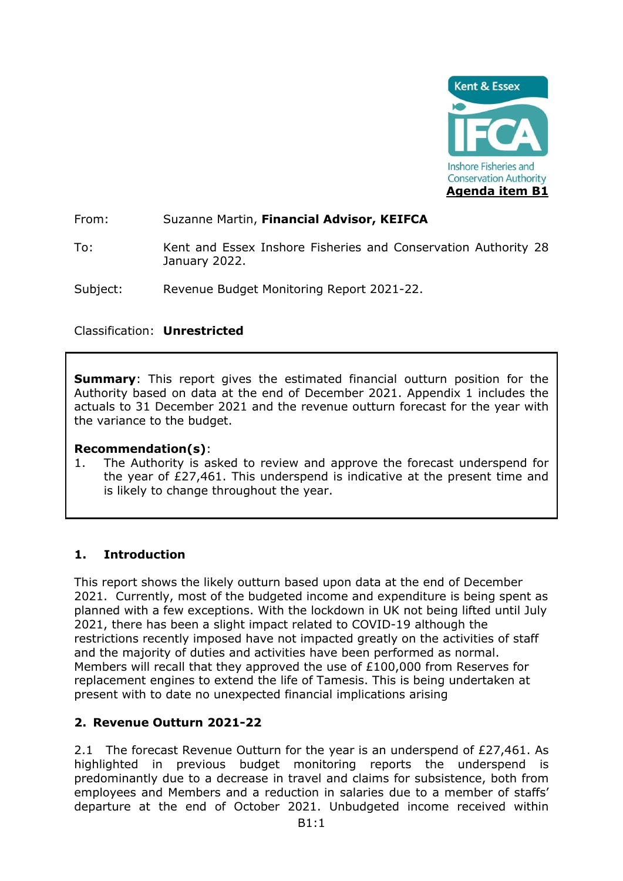

From: Suzanne Martin, **Financial Advisor, KEIFCA**

To: Kent and Essex Inshore Fisheries and Conservation Authority 28 January 2022.

Subject: Revenue Budget Monitoring Report 2021-22.

### Classification: **Unrestricted**

**Summary:** This report gives the estimated financial outturn position for the Authority based on data at the end of December 2021. Appendix 1 includes the actuals to 31 December 2021 and the revenue outturn forecast for the year with the variance to the budget.

### **Recommendation(s)**:

1. The Authority is asked to review and approve the forecast underspend for the year of £27,461. This underspend is indicative at the present time and is likely to change throughout the year.

# **1. Introduction**

This report shows the likely outturn based upon data at the end of December 2021. Currently, most of the budgeted income and expenditure is being spent as planned with a few exceptions. With the lockdown in UK not being lifted until July 2021, there has been a slight impact related to COVID-19 although the restrictions recently imposed have not impacted greatly on the activities of staff and the majority of duties and activities have been performed as normal. Members will recall that they approved the use of £100,000 from Reserves for replacement engines to extend the life of Tamesis. This is being undertaken at present with to date no unexpected financial implications arising

# **2. Revenue Outturn 2021-22**

2.1 The forecast Revenue Outturn for the year is an underspend of £27,461. As highlighted in previous budget monitoring reports the underspend is predominantly due to a decrease in travel and claims for subsistence, both from employees and Members and a reduction in salaries due to a member of staffs' departure at the end of October 2021. Unbudgeted income received within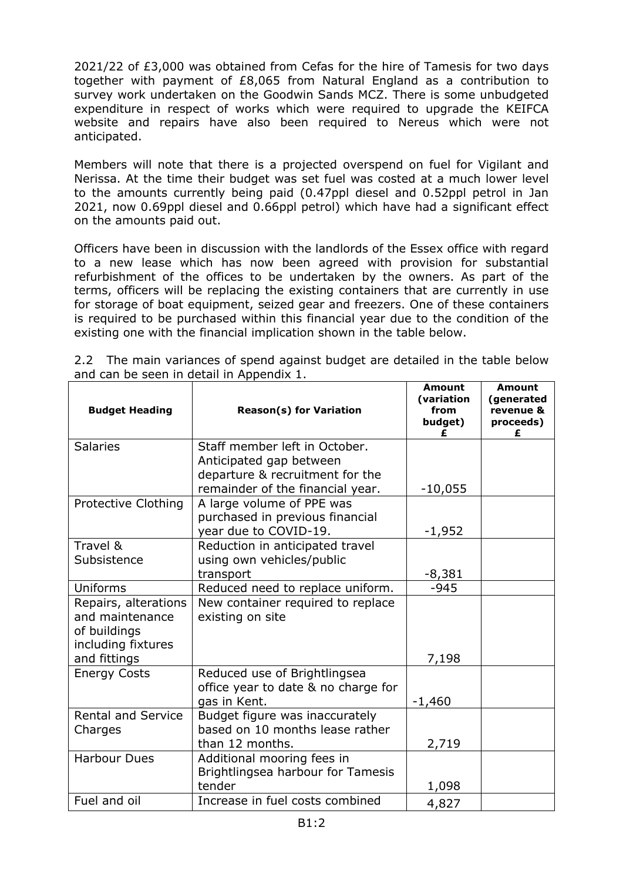2021/22 of £3,000 was obtained from Cefas for the hire of Tamesis for two days together with payment of £8,065 from Natural England as a contribution to survey work undertaken on the Goodwin Sands MCZ. There is some unbudgeted expenditure in respect of works which were required to upgrade the KEIFCA website and repairs have also been required to Nereus which were not anticipated.

Members will note that there is a projected overspend on fuel for Vigilant and Nerissa. At the time their budget was set fuel was costed at a much lower level to the amounts currently being paid (0.47ppl diesel and 0.52ppl petrol in Jan 2021, now 0.69ppl diesel and 0.66ppl petrol) which have had a significant effect on the amounts paid out.

Officers have been in discussion with the landlords of the Essex office with regard to a new lease which has now been agreed with provision for substantial refurbishment of the offices to be undertaken by the owners. As part of the terms, officers will be replacing the existing containers that are currently in use for storage of boat equipment, seized gear and freezers. One of these containers is required to be purchased within this financial year due to the condition of the existing one with the financial implication shown in the table below.

| <b>Budget Heading</b>     | <b>Reason(s) for Variation</b>                                        | <b>Amount</b><br>(variation<br>from<br>budget) | <b>Amount</b><br>(generated<br>revenue &<br>proceeds)<br>£ |
|---------------------------|-----------------------------------------------------------------------|------------------------------------------------|------------------------------------------------------------|
| <b>Salaries</b>           | Staff member left in October.                                         |                                                |                                                            |
|                           | Anticipated gap between                                               |                                                |                                                            |
|                           | departure & recruitment for the<br>remainder of the financial year.   | $-10,055$                                      |                                                            |
| Protective Clothing       | A large volume of PPE was                                             |                                                |                                                            |
|                           | purchased in previous financial                                       |                                                |                                                            |
|                           | year due to COVID-19.                                                 | $-1,952$                                       |                                                            |
| Travel &                  | Reduction in anticipated travel                                       |                                                |                                                            |
| Subsistence               | using own vehicles/public                                             |                                                |                                                            |
| Uniforms                  | transport                                                             | $-8,381$                                       |                                                            |
| Repairs, alterations      | Reduced need to replace uniform.<br>New container required to replace | $-945$                                         |                                                            |
| and maintenance           | existing on site                                                      |                                                |                                                            |
| of buildings              |                                                                       |                                                |                                                            |
| including fixtures        |                                                                       |                                                |                                                            |
| and fittings              |                                                                       | 7,198                                          |                                                            |
| <b>Energy Costs</b>       | Reduced use of Brightlingsea                                          |                                                |                                                            |
|                           | office year to date & no charge for                                   |                                                |                                                            |
|                           | gas in Kent.                                                          | $-1,460$                                       |                                                            |
| <b>Rental and Service</b> | Budget figure was inaccurately                                        |                                                |                                                            |
| Charges                   | based on 10 months lease rather<br>than 12 months.                    | 2,719                                          |                                                            |
| <b>Harbour Dues</b>       | Additional mooring fees in                                            |                                                |                                                            |
|                           | Brightlingsea harbour for Tamesis                                     |                                                |                                                            |
|                           | tender                                                                | 1,098                                          |                                                            |
| Fuel and oil              | Increase in fuel costs combined                                       | 4,827                                          |                                                            |

2.2 The main variances of spend against budget are detailed in the table below and can be seen in detail in Appendix 1.